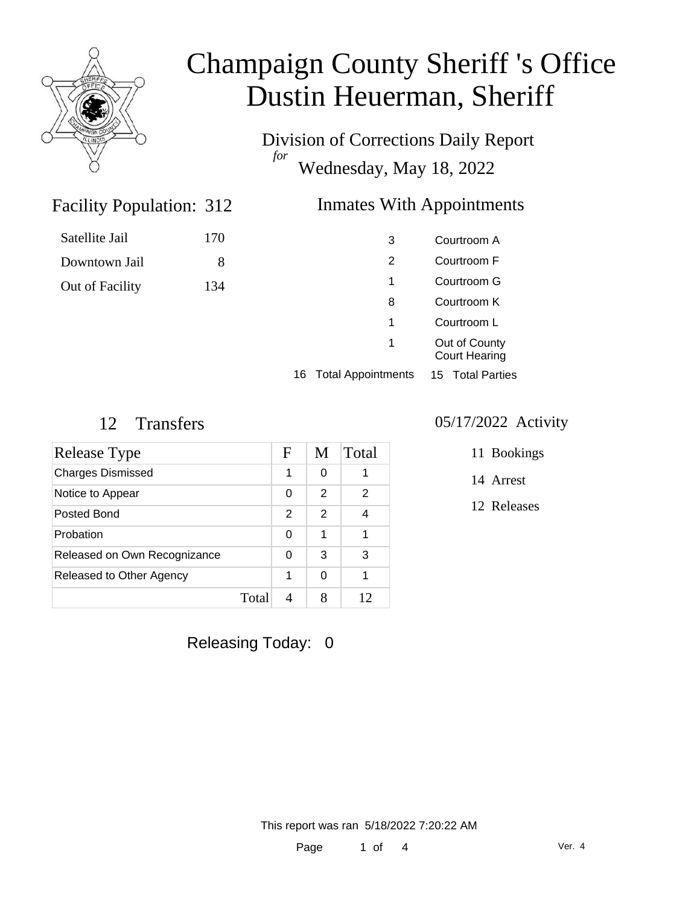

Division of Corrections Daily Report *for* Wednesday, May 18, 2022

### Facility Population: 312

### Inmates With Appointments

| Satellite Jail  | 170 |
|-----------------|-----|
| Downtown Jail   | 8   |
| Out of Facility | 134 |

| 3                               | Courtroom A                           |
|---------------------------------|---------------------------------------|
| 2                               | Courtroom F                           |
| 1                               | Courtroom G                           |
| 8                               | Courtroom K                           |
| 1                               | Courtroom L                           |
| 1                               | Out of County<br><b>Court Hearing</b> |
| <b>Total Appointments</b><br>16 | 15 Total Parties                      |

| Release Type                 |       | F | M | Total |
|------------------------------|-------|---|---|-------|
| <b>Charges Dismissed</b>     |       | 1 | 0 |       |
| Notice to Appear             |       | 0 | 2 | 2     |
| Posted Bond                  |       | 2 | 2 | 4     |
| Probation                    |       | 0 | 1 | 1     |
| Released on Own Recognizance |       | 0 | 3 | 3     |
| Released to Other Agency     |       |   | O | 1     |
|                              | Total |   |   |       |

### 12 Transfers 05/17/2022 Activity

| 11 Bookings |
|-------------|
|             |

14 Arrest

12 Releases

Releasing Today: 0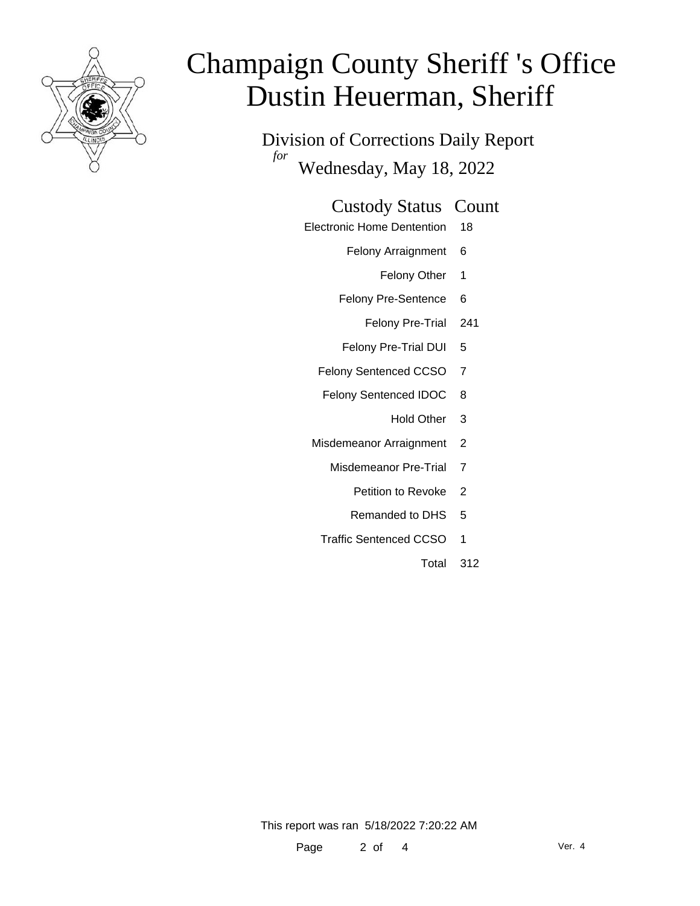

Division of Corrections Daily Report *for* Wednesday, May 18, 2022

### Custody Status Count

- Electronic Home Dentention 18
	- Felony Arraignment 6
		- Felony Other 1
	- Felony Pre-Sentence 6
		- Felony Pre-Trial 241
	- Felony Pre-Trial DUI 5
	- Felony Sentenced CCSO 7
	- Felony Sentenced IDOC 8
		- Hold Other 3
	- Misdemeanor Arraignment 2
		- Misdemeanor Pre-Trial 7
			- Petition to Revoke 2
			- Remanded to DHS 5
		- Traffic Sentenced CCSO 1
			- Total 312

This report was ran 5/18/2022 7:20:22 AM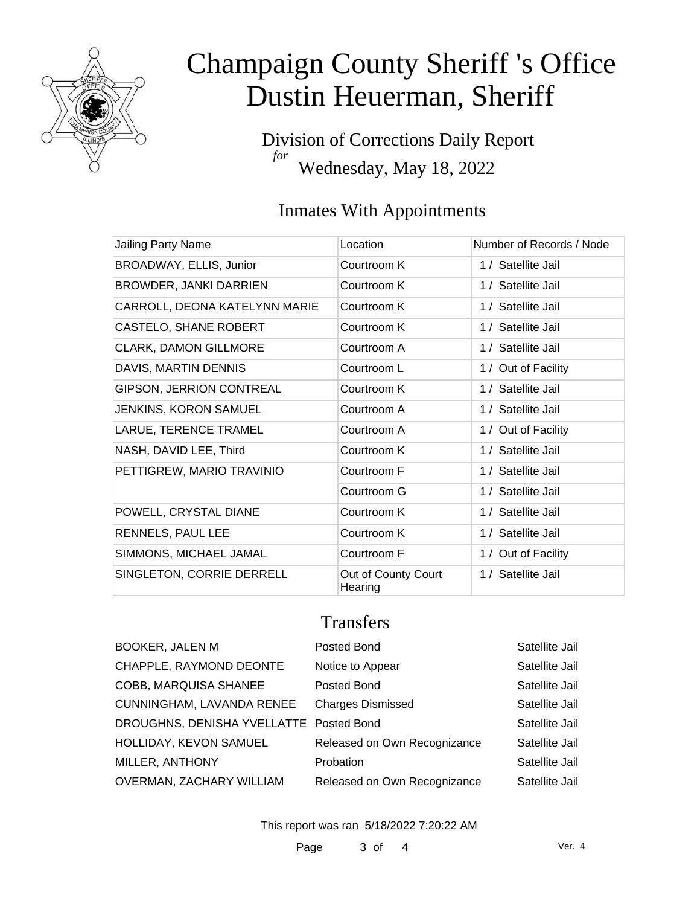

Division of Corrections Daily Report *for* Wednesday, May 18, 2022

## Inmates With Appointments

| Jailing Party Name              | Location                       | Number of Records / Node |
|---------------------------------|--------------------------------|--------------------------|
| BROADWAY, ELLIS, Junior         | Courtroom K                    | 1 / Satellite Jail       |
| BROWDER, JANKI DARRIEN          | Courtroom K                    | 1 / Satellite Jail       |
| CARROLL, DEONA KATELYNN MARIE   | Courtroom K                    | 1 / Satellite Jail       |
| CASTELO, SHANE ROBERT           | Courtroom K                    | 1 / Satellite Jail       |
| <b>CLARK, DAMON GILLMORE</b>    | Courtroom A                    | 1 / Satellite Jail       |
| DAVIS, MARTIN DENNIS            | Courtroom L                    | 1 / Out of Facility      |
| <b>GIPSON, JERRION CONTREAL</b> | Courtroom K                    | 1 / Satellite Jail       |
| <b>JENKINS, KORON SAMUEL</b>    | Courtroom A                    | 1 / Satellite Jail       |
| LARUE, TERENCE TRAMEL           | Courtroom A                    | 1 / Out of Facility      |
| NASH, DAVID LEE, Third          | Courtroom K                    | 1 / Satellite Jail       |
| PETTIGREW, MARIO TRAVINIO       | Courtroom F                    | 1 / Satellite Jail       |
|                                 | Courtroom G                    | 1 / Satellite Jail       |
| POWELL, CRYSTAL DIANE           | Courtroom K                    | 1 / Satellite Jail       |
| RENNELS, PAUL LEE               | Courtroom K                    | 1 / Satellite Jail       |
| SIMMONS, MICHAEL JAMAL          | Courtroom F                    | 1 / Out of Facility      |
| SINGLETON, CORRIE DERRELL       | Out of County Court<br>Hearing | 1 / Satellite Jail       |

### **Transfers**

| <b>BOOKER, JALEN M</b>                  | Posted Bond                  | Satellite Jail |
|-----------------------------------------|------------------------------|----------------|
| CHAPPLE, RAYMOND DEONTE                 | Notice to Appear             | Satellite Jail |
| COBB, MARQUISA SHANEE                   | Posted Bond                  | Satellite Jail |
| CUNNINGHAM, LAVANDA RENEE               | <b>Charges Dismissed</b>     | Satellite Jail |
| DROUGHNS, DENISHA YVELLATTE Posted Bond |                              | Satellite Jail |
| HOLLIDAY, KEVON SAMUEL                  | Released on Own Recognizance | Satellite Jail |
| MILLER, ANTHONY                         | Probation                    | Satellite Jail |
| OVERMAN, ZACHARY WILLIAM                | Released on Own Recognizance | Satellite Jail |

This report was ran 5/18/2022 7:20:22 AM